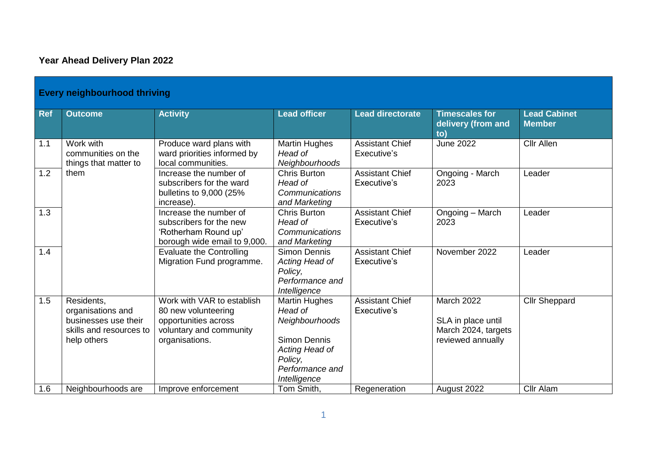## **Year Ahead Delivery Plan 2022**

|            | <b>Every neighbourhood thriving</b>                                                               |                                                                                                                        |                                                                                                                                                 |                                       |                                                                              |                                      |  |  |  |
|------------|---------------------------------------------------------------------------------------------------|------------------------------------------------------------------------------------------------------------------------|-------------------------------------------------------------------------------------------------------------------------------------------------|---------------------------------------|------------------------------------------------------------------------------|--------------------------------------|--|--|--|
| <b>Ref</b> | <b>Outcome</b>                                                                                    | <b>Activity</b>                                                                                                        | <b>Lead officer</b>                                                                                                                             | <b>Lead directorate</b>               | <b>Timescales for</b><br>delivery (from and<br>to)                           | <b>Lead Cabinet</b><br><b>Member</b> |  |  |  |
| 1.1        | Work with<br>communities on the<br>things that matter to                                          | Produce ward plans with<br>ward priorities informed by<br>local communities.                                           | <b>Martin Hughes</b><br>Head of<br>Neighbourhoods                                                                                               | <b>Assistant Chief</b><br>Executive's | <b>June 2022</b>                                                             | <b>Cllr Allen</b>                    |  |  |  |
| 1.2        | them                                                                                              | Increase the number of<br>subscribers for the ward<br>bulletins to 9,000 (25%<br>increase).                            | Chris Burton<br>Head of<br>Communications<br>and Marketing                                                                                      | <b>Assistant Chief</b><br>Executive's | Ongoing - March<br>2023                                                      | Leader                               |  |  |  |
| 1.3        |                                                                                                   | Increase the number of<br>subscribers for the new<br>'Rotherham Round up'<br>borough wide email to 9,000.              | <b>Chris Burton</b><br>Head of<br>Communications<br>and Marketing                                                                               | <b>Assistant Chief</b><br>Executive's | Ongoing - March<br>2023                                                      | Leader                               |  |  |  |
| 1.4        |                                                                                                   | <b>Evaluate the Controlling</b><br>Migration Fund programme.                                                           | <b>Simon Dennis</b><br>Acting Head of<br>Policy,<br>Performance and<br>Intelligence                                                             | <b>Assistant Chief</b><br>Executive's | November 2022                                                                | Leader                               |  |  |  |
| 1.5        | Residents,<br>organisations and<br>businesses use their<br>skills and resources to<br>help others | Work with VAR to establish<br>80 new volunteering<br>opportunities across<br>voluntary and community<br>organisations. | <b>Martin Hughes</b><br>Head of<br>Neighbourhoods<br><b>Simon Dennis</b><br>Acting Head of<br>Policy,<br>Performance and<br><b>Intelligence</b> | <b>Assistant Chief</b><br>Executive's | March 2022<br>SLA in place until<br>March 2024, targets<br>reviewed annually | <b>Cllr Sheppard</b>                 |  |  |  |
| 1.6        | Neighbourhoods are                                                                                | Improve enforcement                                                                                                    | Tom Smith,                                                                                                                                      | Regeneration                          | August 2022                                                                  | <b>Cllr Alam</b>                     |  |  |  |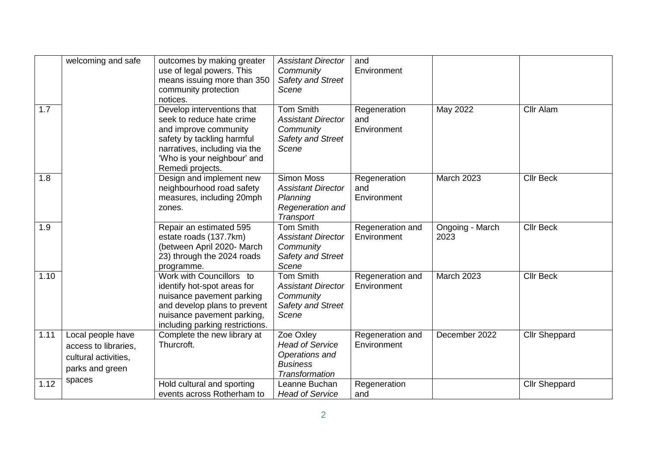| 1.7  | welcoming and safe                                                                   | outcomes by making greater<br>use of legal powers. This<br>means issuing more than 350<br>community protection<br>notices.<br>Develop interventions that<br>seek to reduce hate crime<br>and improve community<br>safety by tackling harmful<br>narratives, including via the | <b>Assistant Director</b><br>Community<br>Safety and Street<br>Scene<br>Tom Smith<br><b>Assistant Director</b><br>Community<br>Safety and Street<br>Scene | and<br>Environment<br>Regeneration<br>and<br>Environment | May 2022                | Cllr Alam            |
|------|--------------------------------------------------------------------------------------|-------------------------------------------------------------------------------------------------------------------------------------------------------------------------------------------------------------------------------------------------------------------------------|-----------------------------------------------------------------------------------------------------------------------------------------------------------|----------------------------------------------------------|-------------------------|----------------------|
|      |                                                                                      | 'Who is your neighbour' and<br>Remedi projects.                                                                                                                                                                                                                               |                                                                                                                                                           |                                                          |                         |                      |
| 1.8  |                                                                                      | Design and implement new<br>neighbourhood road safety<br>measures, including 20mph<br>zones.                                                                                                                                                                                  | <b>Simon Moss</b><br><b>Assistant Director</b><br>Planning<br>Regeneration and<br>Transport                                                               | Regeneration<br>and<br>Environment                       | March 2023              | <b>Cllr Beck</b>     |
| 1.9  |                                                                                      | Repair an estimated 595<br>estate roads (137.7km)<br>(between April 2020- March<br>23) through the 2024 roads<br>programme.                                                                                                                                                   | <b>Tom Smith</b><br><b>Assistant Director</b><br>Community<br>Safety and Street<br>Scene                                                                  | Regeneration and<br>Environment                          | Ongoing - March<br>2023 | <b>Cllr Beck</b>     |
| 1.10 |                                                                                      | Work with Councillors to<br>identify hot-spot areas for<br>nuisance pavement parking<br>and develop plans to prevent<br>nuisance pavement parking,<br>including parking restrictions.                                                                                         | <b>Tom Smith</b><br><b>Assistant Director</b><br>Community<br>Safety and Street<br>Scene                                                                  | Regeneration and<br>Environment                          | March 2023              | <b>Cllr Beck</b>     |
| 1.11 | Local people have<br>access to libraries,<br>cultural activities,<br>parks and green | Complete the new library at<br>Thurcroft.                                                                                                                                                                                                                                     | Zoe Oxley<br><b>Head of Service</b><br>Operations and<br><b>Business</b><br><b>Transformation</b>                                                         | Regeneration and<br>Environment                          | December 2022           | <b>Cllr Sheppard</b> |
| 1.12 | spaces                                                                               | Hold cultural and sporting<br>events across Rotherham to                                                                                                                                                                                                                      | Leanne Buchan<br><b>Head of Service</b>                                                                                                                   | Regeneration<br>and                                      |                         | <b>Cllr Sheppard</b> |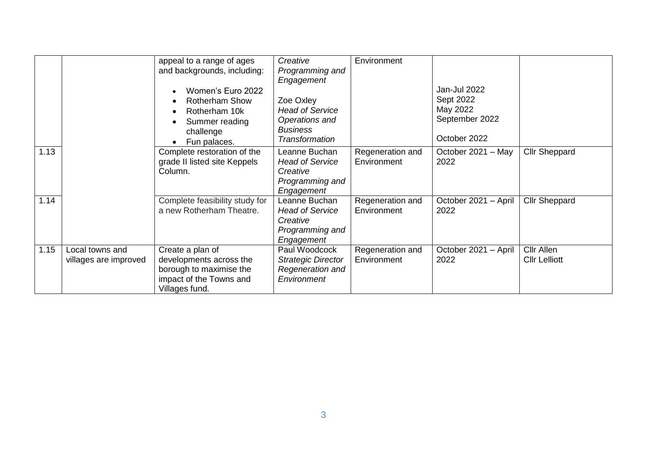|      |                                          | appeal to a range of ages<br>and backgrounds, including:                                                            | Creative<br>Programming and                                                          | Environment                     |                              |                                    |
|------|------------------------------------------|---------------------------------------------------------------------------------------------------------------------|--------------------------------------------------------------------------------------|---------------------------------|------------------------------|------------------------------------|
|      |                                          | Women's Euro 2022<br><b>Rotherham Show</b>                                                                          | Engagement<br>Zoe Oxley                                                              |                                 | Jan-Jul 2022<br>Sept 2022    |                                    |
|      |                                          | Rotherham 10k<br>Summer reading<br>challenge                                                                        | <b>Head of Service</b><br>Operations and<br><b>Business</b>                          |                                 | May 2022<br>September 2022   |                                    |
|      |                                          | Fun palaces.                                                                                                        | Transformation                                                                       |                                 | October 2022                 |                                    |
| 1.13 |                                          | Complete restoration of the<br>grade II listed site Keppels<br>Column.                                              | Leanne Buchan<br><b>Head of Service</b><br>Creative<br>Programming and<br>Engagement | Regeneration and<br>Environment | October 2021 - May<br>2022   | <b>Cllr Sheppard</b>               |
| 1.14 |                                          | Complete feasibility study for<br>a new Rotherham Theatre.                                                          | Leanne Buchan<br><b>Head of Service</b><br>Creative<br>Programming and<br>Engagement | Regeneration and<br>Environment | October 2021 - April<br>2022 | <b>Cllr Sheppard</b>               |
| 1.15 | Local towns and<br>villages are improved | Create a plan of<br>developments across the<br>borough to maximise the<br>impact of the Towns and<br>Villages fund. | Paul Woodcock<br><b>Strategic Director</b><br>Regeneration and<br>Environment        | Regeneration and<br>Environment | October 2021 - April<br>2022 | Cllr Allen<br><b>Cllr Lelliott</b> |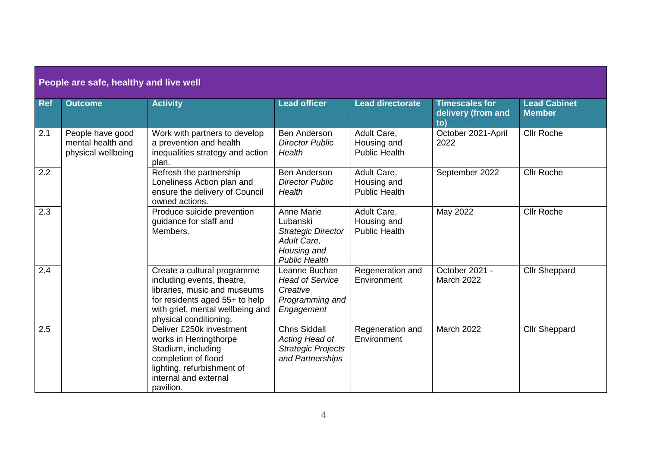| People are safe, healthy and live well |                                                             |                                                                                                                                                                                           |                                                                                                           |                                                    |                                                    |                                      |  |  |
|----------------------------------------|-------------------------------------------------------------|-------------------------------------------------------------------------------------------------------------------------------------------------------------------------------------------|-----------------------------------------------------------------------------------------------------------|----------------------------------------------------|----------------------------------------------------|--------------------------------------|--|--|
| <b>Ref</b>                             | <b>Outcome</b>                                              | <b>Activity</b>                                                                                                                                                                           | <b>Lead officer</b>                                                                                       | <b>Lead directorate</b>                            | <b>Timescales for</b><br>delivery (from and<br>to) | <b>Lead Cabinet</b><br><b>Member</b> |  |  |
| 2.1                                    | People have good<br>mental health and<br>physical wellbeing | Work with partners to develop<br>a prevention and health<br>inequalities strategy and action<br>plan.                                                                                     | <b>Ben Anderson</b><br><b>Director Public</b><br>Health                                                   | Adult Care,<br>Housing and<br><b>Public Health</b> | October 2021-April<br>2022                         | <b>Cllr Roche</b>                    |  |  |
| 2.2                                    |                                                             | Refresh the partnership<br>Loneliness Action plan and<br>ensure the delivery of Council<br>owned actions.                                                                                 | Ben Anderson<br><b>Director Public</b><br>Health                                                          | Adult Care,<br>Housing and<br><b>Public Health</b> | September 2022                                     | <b>Cllr Roche</b>                    |  |  |
| $\overline{2.3}$                       |                                                             | Produce suicide prevention<br>guidance for staff and<br>Members.                                                                                                                          | Anne Marie<br>Lubanski<br><b>Strategic Director</b><br>Adult Care,<br>Housing and<br><b>Public Health</b> | Adult Care,<br>Housing and<br><b>Public Health</b> | May 2022                                           | <b>Cllr Roche</b>                    |  |  |
| 2.4                                    |                                                             | Create a cultural programme<br>including events, theatre,<br>libraries, music and museums<br>for residents aged 55+ to help<br>with grief, mental wellbeing and<br>physical conditioning. | Leanne Buchan<br><b>Head of Service</b><br>Creative<br>Programming and<br>Engagement                      | Regeneration and<br>Environment                    | October 2021 -<br><b>March 2022</b>                | <b>Cllr Sheppard</b>                 |  |  |
| 2.5                                    |                                                             | Deliver £250k investment<br>works in Herringthorpe<br>Stadium, including<br>completion of flood<br>lighting, refurbishment of<br>internal and external<br>pavilion.                       | <b>Chris Siddall</b><br>Acting Head of<br><b>Strategic Projects</b><br>and Partnerships                   | Regeneration and<br>Environment                    | <b>March 2022</b>                                  | <b>Cllr Sheppard</b>                 |  |  |

## 4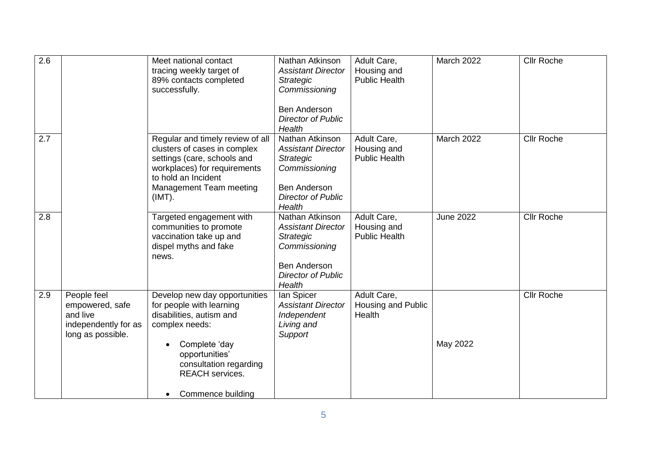| 2.6 |                                                                                         | Meet national contact<br>tracing weekly target of<br>89% contacts completed<br>successfully.                                                                                                                                     | Nathan Atkinson<br><b>Assistant Director</b><br><b>Strategic</b><br>Commissioning<br><b>Ben Anderson</b><br><b>Director of Public</b><br>Health | Adult Care,<br>Housing and<br><b>Public Health</b> | March 2022       | <b>Cllr Roche</b> |
|-----|-----------------------------------------------------------------------------------------|----------------------------------------------------------------------------------------------------------------------------------------------------------------------------------------------------------------------------------|-------------------------------------------------------------------------------------------------------------------------------------------------|----------------------------------------------------|------------------|-------------------|
| 2.7 |                                                                                         | Regular and timely review of all<br>clusters of cases in complex<br>settings (care, schools and<br>workplaces) for requirements<br>to hold an Incident<br>Management Team meeting<br>(IMT).                                      | Nathan Atkinson<br><b>Assistant Director</b><br>Strategic<br>Commissioning<br><b>Ben Anderson</b><br><b>Director of Public</b><br>Health        | Adult Care,<br>Housing and<br><b>Public Health</b> | March 2022       | <b>Cllr Roche</b> |
| 2.8 |                                                                                         | Targeted engagement with<br>communities to promote<br>vaccination take up and<br>dispel myths and fake<br>news.                                                                                                                  | Nathan Atkinson<br><b>Assistant Director</b><br>Strategic<br>Commissioning<br><b>Ben Anderson</b><br><b>Director of Public</b><br>Health        | Adult Care,<br>Housing and<br><b>Public Health</b> | <b>June 2022</b> | <b>Cllr Roche</b> |
| 2.9 | People feel<br>empowered, safe<br>and live<br>independently for as<br>long as possible. | Develop new day opportunities<br>for people with learning<br>disabilities, autism and<br>complex needs:<br>Complete 'day<br>opportunities'<br>consultation regarding<br><b>REACH</b> services.<br>Commence building<br>$\bullet$ | lan Spicer<br><b>Assistant Director</b><br>Independent<br>Living and<br>Support                                                                 | Adult Care,<br>Housing and Public<br>Health        | May 2022         | <b>Cllr Roche</b> |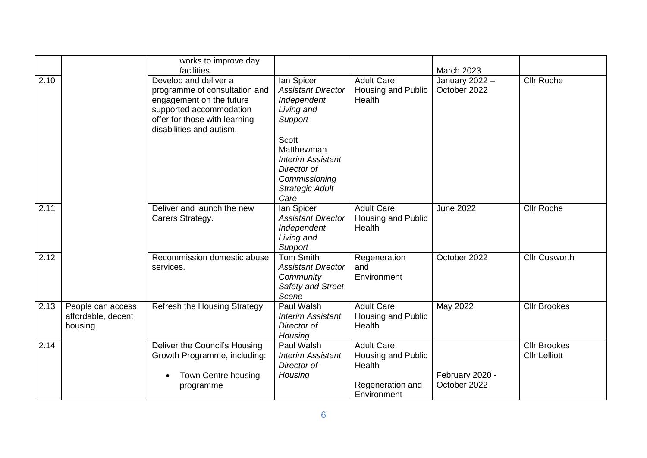|      |                                                    | works to improve day<br>facilities.                                                                                                                                        |                                                                                                                   |                                                                                | <b>March 2023</b>               |                                             |
|------|----------------------------------------------------|----------------------------------------------------------------------------------------------------------------------------------------------------------------------------|-------------------------------------------------------------------------------------------------------------------|--------------------------------------------------------------------------------|---------------------------------|---------------------------------------------|
| 2.10 |                                                    | Develop and deliver a<br>programme of consultation and<br>engagement on the future<br>supported accommodation<br>offer for those with learning<br>disabilities and autism. | lan Spicer<br><b>Assistant Director</b><br>Independent<br>Living and<br>Support                                   | Adult Care,<br>Housing and Public<br>Health                                    | January 2022 -<br>October 2022  | <b>Cllr Roche</b>                           |
|      |                                                    |                                                                                                                                                                            | Scott<br>Matthewman<br><b>Interim Assistant</b><br>Director of<br>Commissioning<br><b>Strategic Adult</b><br>Care |                                                                                |                                 |                                             |
| 2.11 |                                                    | Deliver and launch the new<br>Carers Strategy.                                                                                                                             | lan Spicer<br><b>Assistant Director</b><br>Independent<br>Living and<br>Support                                   | Adult Care,<br>Housing and Public<br>Health                                    | <b>June 2022</b>                | <b>Cllr Roche</b>                           |
| 2.12 |                                                    | Recommission domestic abuse<br>services.                                                                                                                                   | <b>Tom Smith</b><br><b>Assistant Director</b><br>Community<br>Safety and Street<br>Scene                          | Regeneration<br>and<br>Environment                                             | October 2022                    | <b>Cllr Cusworth</b>                        |
| 2.13 | People can access<br>affordable, decent<br>housing | Refresh the Housing Strategy.                                                                                                                                              | Paul Walsh<br><b>Interim Assistant</b><br>Director of<br>Housing                                                  | Adult Care,<br>Housing and Public<br>Health                                    | May 2022                        | <b>Cllr Brookes</b>                         |
| 2.14 |                                                    | Deliver the Council's Housing<br>Growth Programme, including:<br>Town Centre housing<br>programme                                                                          | Paul Walsh<br><b>Interim Assistant</b><br>Director of<br>Housing                                                  | Adult Care,<br>Housing and Public<br>Health<br>Regeneration and<br>Environment | February 2020 -<br>October 2022 | <b>Cllr Brookes</b><br><b>Cllr Lelliott</b> |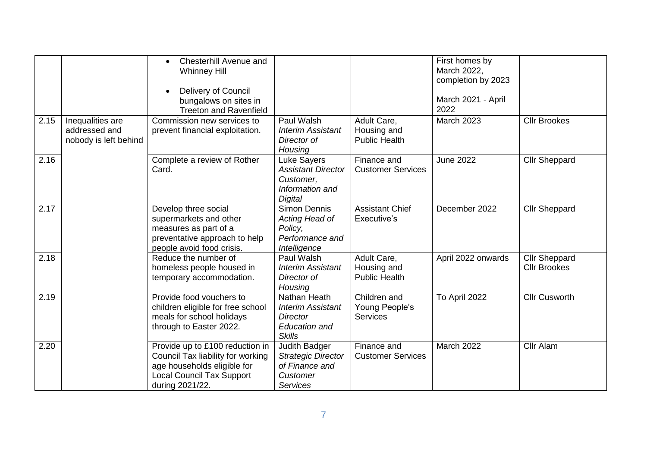|      |                                                            | Chesterhill Avenue and<br>$\bullet$<br><b>Whinney Hill</b><br>Delivery of Council<br>bungalows on sites in<br><b>Treeton and Ravenfield</b>                |                                                                                                      |                                                    | First homes by<br>March 2022,<br>completion by 2023<br>March 2021 - April<br>2022 |                                             |
|------|------------------------------------------------------------|------------------------------------------------------------------------------------------------------------------------------------------------------------|------------------------------------------------------------------------------------------------------|----------------------------------------------------|-----------------------------------------------------------------------------------|---------------------------------------------|
| 2.15 | Inequalities are<br>addressed and<br>nobody is left behind | Commission new services to<br>prevent financial exploitation.                                                                                              | Paul Walsh<br><b>Interim Assistant</b><br>Director of<br>Housing                                     | Adult Care,<br>Housing and<br><b>Public Health</b> | March 2023                                                                        | <b>Cllr Brookes</b>                         |
| 2.16 |                                                            | Complete a review of Rother<br>Card.                                                                                                                       | Luke Sayers<br><b>Assistant Director</b><br>Customer,<br>Information and<br>Digital                  | Finance and<br><b>Customer Services</b>            | <b>June 2022</b>                                                                  | Cllr Sheppard                               |
| 2.17 |                                                            | Develop three social<br>supermarkets and other<br>measures as part of a<br>preventative approach to help<br>people avoid food crisis.                      | Simon Dennis<br>Acting Head of<br>Policy,<br>Performance and<br>Intelligence                         | <b>Assistant Chief</b><br>Executive's              | December 2022                                                                     | <b>Cllr Sheppard</b>                        |
| 2.18 |                                                            | Reduce the number of<br>homeless people housed in<br>temporary accommodation.                                                                              | Paul Walsh<br><b>Interim Assistant</b><br>Director of<br>Housing                                     | Adult Care,<br>Housing and<br><b>Public Health</b> | April 2022 onwards                                                                | <b>Cllr Sheppard</b><br><b>Cllr Brookes</b> |
| 2.19 |                                                            | Provide food vouchers to<br>children eligible for free school<br>meals for school holidays<br>through to Easter 2022.                                      | Nathan Heath<br><b>Interim Assistant</b><br><b>Director</b><br><b>Education and</b><br><b>Skills</b> | Children and<br>Young People's<br><b>Services</b>  | To April 2022                                                                     | <b>Cllr Cusworth</b>                        |
| 2.20 |                                                            | Provide up to £100 reduction in<br>Council Tax liability for working<br>age households eligible for<br><b>Local Council Tax Support</b><br>during 2021/22. | Judith Badger<br><b>Strategic Director</b><br>of Finance and<br>Customer<br><b>Services</b>          | Finance and<br><b>Customer Services</b>            | March 2022                                                                        | Cllr Alam                                   |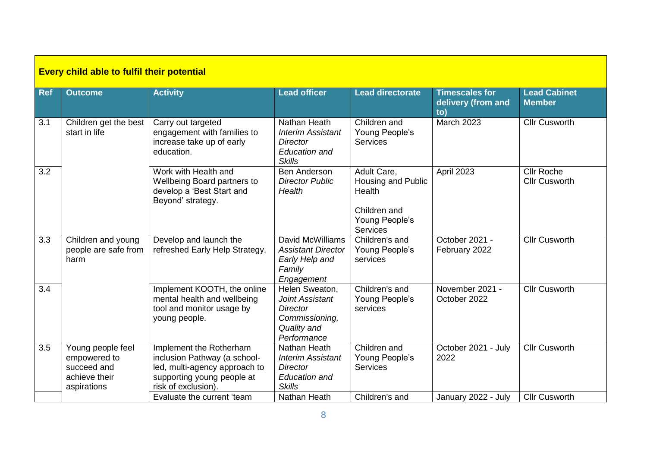|                  | <b>Every child able to fulfil their potential</b>                                |                                                                                                                                               |                                                                                                      |                                                                                           |                                                    |                                           |  |  |  |
|------------------|----------------------------------------------------------------------------------|-----------------------------------------------------------------------------------------------------------------------------------------------|------------------------------------------------------------------------------------------------------|-------------------------------------------------------------------------------------------|----------------------------------------------------|-------------------------------------------|--|--|--|
| <b>Ref</b>       | <b>Outcome</b>                                                                   | <b>Activity</b>                                                                                                                               | <b>Lead officer</b>                                                                                  | <b>Lead directorate</b>                                                                   | <b>Timescales for</b><br>delivery (from and<br>to) | <b>Lead Cabinet</b><br><b>Member</b>      |  |  |  |
| 3.1              | Children get the best<br>start in life                                           | Carry out targeted<br>engagement with families to<br>increase take up of early<br>education.                                                  | Nathan Heath<br><b>Interim Assistant</b><br><b>Director</b><br><b>Education and</b><br><b>Skills</b> | Children and<br>Young People's<br><b>Services</b>                                         | March 2023                                         | <b>Cllr Cusworth</b>                      |  |  |  |
| 3.2              |                                                                                  | Work with Health and<br>Wellbeing Board partners to<br>develop a 'Best Start and<br>Beyond' strategy.                                         | <b>Ben Anderson</b><br><b>Director Public</b><br>Health                                              | Adult Care,<br>Housing and Public<br>Health<br>Children and<br>Young People's<br>Services | April 2023                                         | <b>Cllr Roche</b><br><b>Cllr Cusworth</b> |  |  |  |
| 3.3              | Children and young<br>people are safe from<br>harm                               | Develop and launch the<br>refreshed Early Help Strategy.                                                                                      | David McWilliams<br><b>Assistant Director</b><br>Early Help and<br>Family<br>Engagement              | Children's and<br>Young People's<br>services                                              | October 2021 -<br>February 2022                    | <b>Cllr Cusworth</b>                      |  |  |  |
| $\overline{3.4}$ |                                                                                  | Implement KOOTH, the online<br>mental health and wellbeing<br>tool and monitor usage by<br>young people.                                      | Helen Sweaton,<br>Joint Assistant<br>Director<br>Commissioning,<br>Quality and<br>Performance        | Children's and<br>Young People's<br>services                                              | November 2021 -<br>October 2022                    | <b>Cllr Cusworth</b>                      |  |  |  |
| 3.5              | Young people feel<br>empowered to<br>succeed and<br>achieve their<br>aspirations | Implement the Rotherham<br>inclusion Pathway (a school-<br>led, multi-agency approach to<br>supporting young people at<br>risk of exclusion). | Nathan Heath<br><b>Interim Assistant</b><br>Director<br><b>Education and</b><br><b>Skills</b>        | Children and<br>Young People's<br><b>Services</b>                                         | October 2021 - July<br>2022                        | <b>Cllr Cusworth</b>                      |  |  |  |
|                  |                                                                                  | Evaluate the current 'team                                                                                                                    | Nathan Heath                                                                                         | Children's and                                                                            | January 2022 - July                                | <b>Cllr Cusworth</b>                      |  |  |  |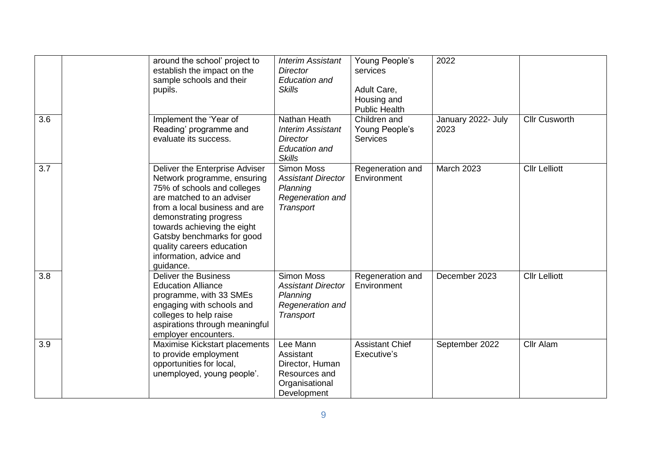| 3.6 | around the school' project to<br>establish the impact on the<br>sample schools and their<br>pupils.<br>Implement the 'Year of<br>Reading' programme and<br>evaluate its success.                                                                                                                                       | <b>Interim Assistant</b><br><b>Director</b><br><b>Education and</b><br><b>Skills</b><br>Nathan Heath<br><b>Interim Assistant</b><br><b>Director</b><br><b>Education and</b> | Young People's<br>services<br>Adult Care,<br>Housing and<br><b>Public Health</b><br>Children and<br>Young People's<br><b>Services</b> | 2022<br>January 2022- July<br>2023 | <b>Cllr Cusworth</b> |
|-----|------------------------------------------------------------------------------------------------------------------------------------------------------------------------------------------------------------------------------------------------------------------------------------------------------------------------|-----------------------------------------------------------------------------------------------------------------------------------------------------------------------------|---------------------------------------------------------------------------------------------------------------------------------------|------------------------------------|----------------------|
| 3.7 | Deliver the Enterprise Adviser<br>Network programme, ensuring<br>75% of schools and colleges<br>are matched to an adviser<br>from a local business and are<br>demonstrating progress<br>towards achieving the eight<br>Gatsby benchmarks for good<br>quality careers education<br>information, advice and<br>quidance. | <b>Skills</b><br>Simon Moss<br><b>Assistant Director</b><br>Planning<br>Regeneration and<br>Transport                                                                       | Regeneration and<br>Environment                                                                                                       | March 2023                         | <b>Cllr Lelliott</b> |
| 3.8 | <b>Deliver the Business</b><br><b>Education Alliance</b><br>programme, with 33 SMEs<br>engaging with schools and<br>colleges to help raise<br>aspirations through meaningful<br>employer encounters.                                                                                                                   | <b>Simon Moss</b><br><b>Assistant Director</b><br>Planning<br>Regeneration and<br>Transport                                                                                 | Regeneration and<br>Environment                                                                                                       | December 2023                      | <b>Cllr Lelliott</b> |
| 3.9 | Maximise Kickstart placements<br>to provide employment<br>opportunities for local,<br>unemployed, young people'.                                                                                                                                                                                                       | Lee Mann<br>Assistant<br>Director, Human<br>Resources and<br>Organisational<br>Development                                                                                  | <b>Assistant Chief</b><br>Executive's                                                                                                 | September 2022                     | Cllr Alam            |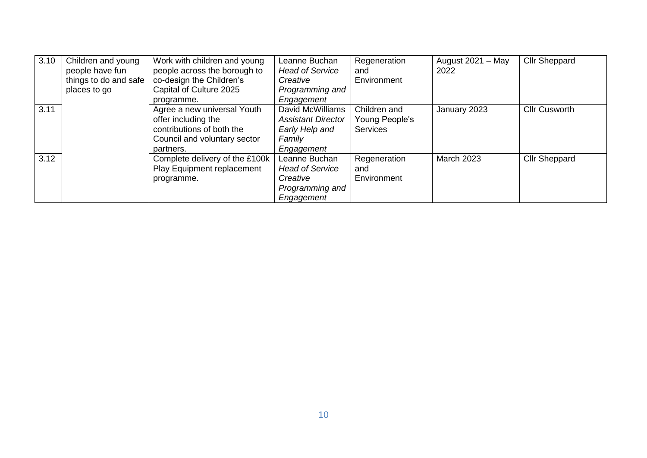| 3.10 | Children and young<br>people have fun<br>things to do and safe<br>places to go | Work with children and young<br>people across the borough to<br>co-design the Children's<br>Capital of Culture 2025<br>programme. | Leanne Buchan<br><b>Head of Service</b><br>Creative<br>Programming and<br>Engagement    | Regeneration<br>and<br>Environment                | August $2021 - May$<br>2022 | <b>Cllr Sheppard</b> |
|------|--------------------------------------------------------------------------------|-----------------------------------------------------------------------------------------------------------------------------------|-----------------------------------------------------------------------------------------|---------------------------------------------------|-----------------------------|----------------------|
| 3.11 |                                                                                | Agree a new universal Youth<br>offer including the<br>contributions of both the<br>Council and voluntary sector<br>partners.      | David McWilliams<br><b>Assistant Director</b><br>Early Help and<br>Family<br>Engagement | Children and<br>Young People's<br><b>Services</b> | January 2023                | <b>Cllr Cusworth</b> |
| 3.12 |                                                                                | Complete delivery of the £100k<br>Play Equipment replacement<br>programme.                                                        | Leanne Buchan<br><b>Head of Service</b><br>Creative<br>Programming and<br>Engagement    | Regeneration<br>and<br>Environment                | March 2023                  | <b>Cllr Sheppard</b> |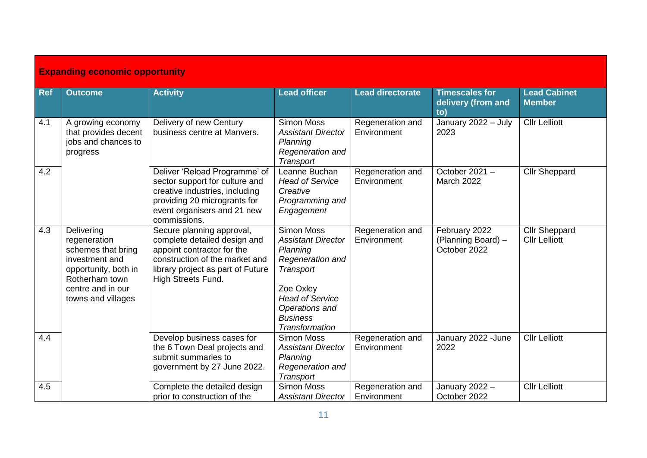| <b>Expanding economic opportunity</b> |                                                                                                                                                         |                                                                                                                                                                                      |                                                                                                                                                                                                  |                                 |                                                     |                                              |  |  |
|---------------------------------------|---------------------------------------------------------------------------------------------------------------------------------------------------------|--------------------------------------------------------------------------------------------------------------------------------------------------------------------------------------|--------------------------------------------------------------------------------------------------------------------------------------------------------------------------------------------------|---------------------------------|-----------------------------------------------------|----------------------------------------------|--|--|
| <b>Ref</b>                            | <b>Outcome</b>                                                                                                                                          | <b>Activity</b>                                                                                                                                                                      | <b>Lead officer</b>                                                                                                                                                                              | <b>Lead directorate</b>         | <b>Timescales for</b><br>delivery (from and<br>to)  | <b>Lead Cabinet</b><br><b>Member</b>         |  |  |
| 4.1                                   | A growing economy<br>that provides decent<br>jobs and chances to<br>progress                                                                            | Delivery of new Century<br>business centre at Manvers.                                                                                                                               | <b>Simon Moss</b><br><b>Assistant Director</b><br>Planning<br>Regeneration and<br>Transport                                                                                                      | Regeneration and<br>Environment | January 2022 - July<br>2023                         | <b>Cllr Lelliott</b>                         |  |  |
| 4.2                                   |                                                                                                                                                         | Deliver 'Reload Programme' of<br>sector support for culture and<br>creative industries, including<br>providing 20 microgrants for<br>event organisers and 21 new<br>commissions.     | Leanne Buchan<br><b>Head of Service</b><br>Creative<br>Programming and<br>Engagement                                                                                                             | Regeneration and<br>Environment | October 2021 -<br>March 2022                        | <b>Cllr Sheppard</b>                         |  |  |
| 4.3                                   | Delivering<br>regeneration<br>schemes that bring<br>investment and<br>opportunity, both in<br>Rotherham town<br>centre and in our<br>towns and villages | Secure planning approval,<br>complete detailed design and<br>appoint contractor for the<br>construction of the market and<br>library project as part of Future<br>High Streets Fund. | <b>Simon Moss</b><br><b>Assistant Director</b><br>Planning<br>Regeneration and<br><b>Transport</b><br>Zoe Oxley<br><b>Head of Service</b><br>Operations and<br><b>Business</b><br>Transformation | Regeneration and<br>Environment | February 2022<br>(Planning Board) -<br>October 2022 | <b>Cllr Sheppard</b><br><b>Cllr Lelliott</b> |  |  |
| 4.4                                   |                                                                                                                                                         | Develop business cases for<br>the 6 Town Deal projects and<br>submit summaries to<br>government by 27 June 2022.                                                                     | <b>Simon Moss</b><br><b>Assistant Director</b><br>Planning<br>Regeneration and<br>Transport                                                                                                      | Regeneration and<br>Environment | January 2022 - June<br>2022                         | <b>Cllr Lelliott</b>                         |  |  |
| 4.5                                   |                                                                                                                                                         | Complete the detailed design<br>prior to construction of the                                                                                                                         | <b>Simon Moss</b><br><b>Assistant Director</b>                                                                                                                                                   | Regeneration and<br>Environment | January 2022 -<br>October 2022                      | <b>Cllr Lelliott</b>                         |  |  |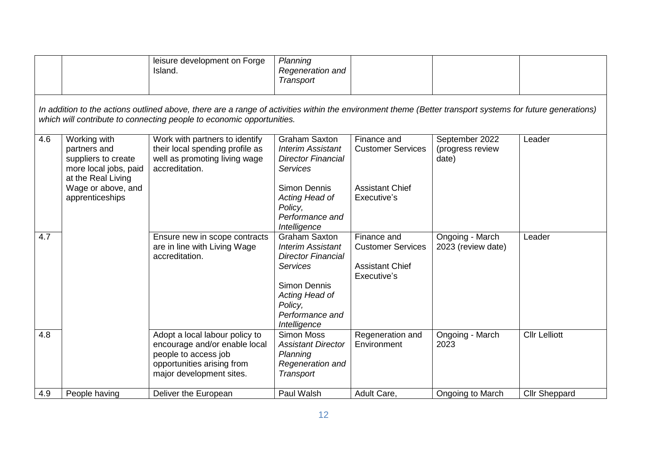|     |                                                                                                                                                                                                                                    | leisure development on Forge<br>Island.                                                                                                           | Planning<br>Regeneration and<br>Transport                                                                                                                               |                                                                                  |                                             |                      |  |  |  |
|-----|------------------------------------------------------------------------------------------------------------------------------------------------------------------------------------------------------------------------------------|---------------------------------------------------------------------------------------------------------------------------------------------------|-------------------------------------------------------------------------------------------------------------------------------------------------------------------------|----------------------------------------------------------------------------------|---------------------------------------------|----------------------|--|--|--|
|     | In addition to the actions outlined above, there are a range of activities within the environment theme (Better transport systems for future generations)<br>which will contribute to connecting people to economic opportunities. |                                                                                                                                                   |                                                                                                                                                                         |                                                                                  |                                             |                      |  |  |  |
| 4.6 | Working with<br>partners and<br>suppliers to create<br>more local jobs, paid<br>at the Real Living                                                                                                                                 | Work with partners to identify<br>their local spending profile as<br>well as promoting living wage<br>accreditation.                              | <b>Graham Saxton</b><br><b>Interim Assistant</b><br><b>Director Financial</b><br><b>Services</b>                                                                        | Finance and<br><b>Customer Services</b>                                          | September 2022<br>(progress review<br>date) | Leader               |  |  |  |
|     | Wage or above, and<br>apprenticeships                                                                                                                                                                                              |                                                                                                                                                   | <b>Simon Dennis</b><br>Acting Head of<br>Policy,<br>Performance and<br>Intelligence                                                                                     | <b>Assistant Chief</b><br>Executive's                                            |                                             |                      |  |  |  |
| 4.7 |                                                                                                                                                                                                                                    | Ensure new in scope contracts<br>are in line with Living Wage<br>accreditation.                                                                   | <b>Graham Saxton</b><br><b>Interim Assistant</b><br><b>Director Financial</b><br><b>Services</b><br><b>Simon Dennis</b><br>Acting Head of<br>Policy,<br>Performance and | Finance and<br><b>Customer Services</b><br><b>Assistant Chief</b><br>Executive's | Ongoing - March<br>2023 (review date)       | Leader               |  |  |  |
| 4.8 |                                                                                                                                                                                                                                    | Adopt a local labour policy to<br>encourage and/or enable local<br>people to access job<br>opportunities arising from<br>major development sites. | Intelligence<br><b>Simon Moss</b><br><b>Assistant Director</b><br>Planning<br>Regeneration and<br>Transport                                                             | Regeneration and<br>Environment                                                  | Ongoing - March<br>2023                     | <b>Cllr Lelliott</b> |  |  |  |
| 4.9 | People having                                                                                                                                                                                                                      | Deliver the European                                                                                                                              | Paul Walsh                                                                                                                                                              | Adult Care,                                                                      | Ongoing to March                            | <b>Cllr Sheppard</b> |  |  |  |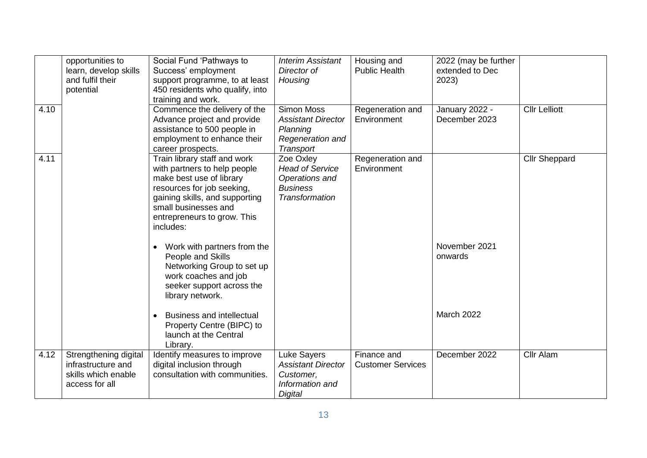|      | opportunities to<br>learn, develop skills<br>and fulfil their<br>potential           | Social Fund 'Pathways to<br>Success' employment<br>support programme, to at least<br>450 residents who qualify, into<br>training and work.                                                                                   | <b>Interim Assistant</b><br>Director of<br>Housing                                          | Housing and<br><b>Public Health</b>     | 2022 (may be further<br>extended to Dec<br>2023) |                      |
|------|--------------------------------------------------------------------------------------|------------------------------------------------------------------------------------------------------------------------------------------------------------------------------------------------------------------------------|---------------------------------------------------------------------------------------------|-----------------------------------------|--------------------------------------------------|----------------------|
| 4.10 |                                                                                      | Commence the delivery of the<br>Advance project and provide<br>assistance to 500 people in<br>employment to enhance their<br>career prospects.                                                                               | <b>Simon Moss</b><br><b>Assistant Director</b><br>Planning<br>Regeneration and<br>Transport | Regeneration and<br>Environment         | January 2022 -<br>December 2023                  | <b>Cllr Lelliott</b> |
| 4.11 |                                                                                      | Train library staff and work<br>with partners to help people<br>make best use of library<br>resources for job seeking,<br>gaining skills, and supporting<br>small businesses and<br>entrepreneurs to grow. This<br>includes: | Zoe Oxley<br><b>Head of Service</b><br>Operations and<br><b>Business</b><br>Transformation  | Regeneration and<br>Environment         |                                                  | <b>Cllr Sheppard</b> |
|      |                                                                                      | • Work with partners from the<br>People and Skills<br>Networking Group to set up<br>work coaches and job<br>seeker support across the<br>library network.                                                                    |                                                                                             |                                         | November 2021<br>onwards                         |                      |
|      |                                                                                      | <b>Business and intellectual</b><br>Property Centre (BIPC) to<br>launch at the Central<br>Library.                                                                                                                           |                                                                                             |                                         | <b>March 2022</b>                                |                      |
| 4.12 | Strengthening digital<br>infrastructure and<br>skills which enable<br>access for all | Identify measures to improve<br>digital inclusion through<br>consultation with communities.                                                                                                                                  | Luke Sayers<br><b>Assistant Director</b><br>Customer,<br>Information and<br>Digital         | Finance and<br><b>Customer Services</b> | December 2022                                    | Cllr Alam            |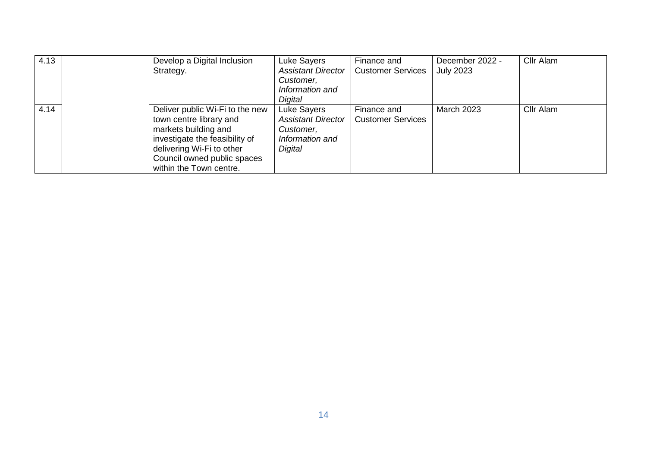| 4.13 | Develop a Digital Inclusion<br>Strategy.                                                                                                                                                                    | Luke Sayers<br><b>Assistant Director</b><br>Customer,<br>Information and<br>Digital | Finance and<br><b>Customer Services</b> | December 2022 -<br><b>July 2023</b> | Cllr Alam |
|------|-------------------------------------------------------------------------------------------------------------------------------------------------------------------------------------------------------------|-------------------------------------------------------------------------------------|-----------------------------------------|-------------------------------------|-----------|
| 4.14 | Deliver public Wi-Fi to the new<br>town centre library and<br>markets building and<br>investigate the feasibility of<br>delivering Wi-Fi to other<br>Council owned public spaces<br>within the Town centre. | Luke Sayers<br><b>Assistant Director</b><br>Customer,<br>Information and<br>Digital | Finance and<br><b>Customer Services</b> | <b>March 2023</b>                   | Cllr Alam |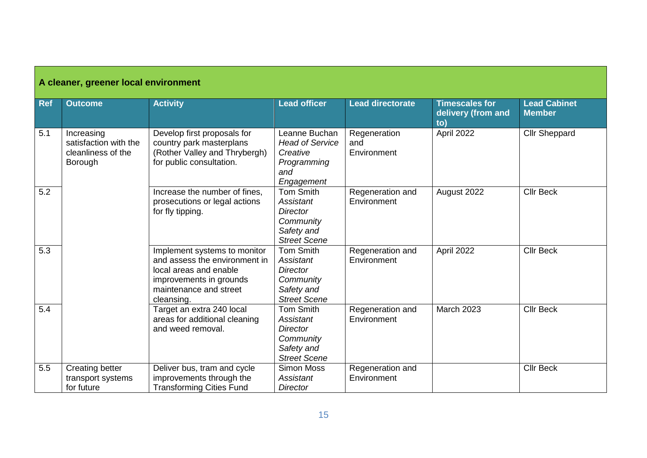| A cleaner, greener local environment |                                                                      |                                                                                                                                                            |                                                                                                    |                                    |                                                    |                                      |  |
|--------------------------------------|----------------------------------------------------------------------|------------------------------------------------------------------------------------------------------------------------------------------------------------|----------------------------------------------------------------------------------------------------|------------------------------------|----------------------------------------------------|--------------------------------------|--|
| Ref                                  | <b>Outcome</b>                                                       | <b>Activity</b>                                                                                                                                            | <b>Lead officer</b>                                                                                | <b>Lead directorate</b>            | <b>Timescales for</b><br>delivery (from and<br>to) | <b>Lead Cabinet</b><br><b>Member</b> |  |
| 5.1                                  | Increasing<br>satisfaction with the<br>cleanliness of the<br>Borough | Develop first proposals for<br>country park masterplans<br>(Rother Valley and Thrybergh)<br>for public consultation.                                       | Leanne Buchan<br><b>Head of Service</b><br>Creative<br>Programming<br>and<br>Engagement            | Regeneration<br>and<br>Environment | April 2022                                         | <b>Cllr Sheppard</b>                 |  |
| 5.2                                  |                                                                      | Increase the number of fines,<br>prosecutions or legal actions<br>for fly tipping.                                                                         | <b>Tom Smith</b><br>Assistant<br>Director<br>Community<br>Safety and<br><b>Street Scene</b>        | Regeneration and<br>Environment    | August 2022                                        | <b>Cllr Beck</b>                     |  |
| $\overline{5.3}$                     |                                                                      | Implement systems to monitor<br>and assess the environment in<br>local areas and enable<br>improvements in grounds<br>maintenance and street<br>cleansing. | <b>Tom Smith</b><br>Assistant<br><b>Director</b><br>Community<br>Safety and<br><b>Street Scene</b> | Regeneration and<br>Environment    | April 2022                                         | <b>Cllr Beck</b>                     |  |
| 5.4                                  |                                                                      | Target an extra 240 local<br>areas for additional cleaning<br>and weed removal.                                                                            | Tom Smith<br>Assistant<br><b>Director</b><br>Community<br>Safety and<br><b>Street Scene</b>        | Regeneration and<br>Environment    | <b>March 2023</b>                                  | <b>Cllr Beck</b>                     |  |
| 5.5                                  | <b>Creating better</b><br>transport systems<br>for future            | Deliver bus, tram and cycle<br>improvements through the<br><b>Transforming Cities Fund</b>                                                                 | <b>Simon Moss</b><br>Assistant<br><b>Director</b>                                                  | Regeneration and<br>Environment    |                                                    | <b>Cllr Beck</b>                     |  |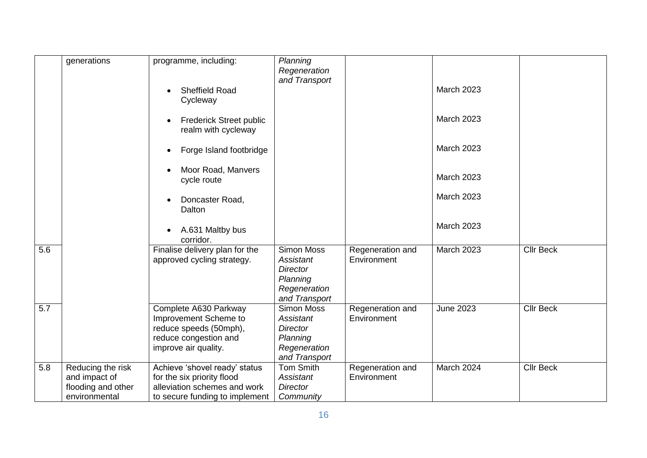|     | generations        | programme, including:                       | Planning          |                  |                   |                  |
|-----|--------------------|---------------------------------------------|-------------------|------------------|-------------------|------------------|
|     |                    |                                             | Regeneration      |                  |                   |                  |
|     |                    |                                             | and Transport     |                  |                   |                  |
|     |                    | <b>Sheffield Road</b>                       |                   |                  | <b>March 2023</b> |                  |
|     |                    |                                             |                   |                  |                   |                  |
|     |                    | Cycleway                                    |                   |                  |                   |                  |
|     |                    |                                             |                   |                  | <b>March 2023</b> |                  |
|     |                    | <b>Frederick Street public</b><br>$\bullet$ |                   |                  |                   |                  |
|     |                    | realm with cycleway                         |                   |                  |                   |                  |
|     |                    |                                             |                   |                  |                   |                  |
|     |                    | Forge Island footbridge<br>$\bullet$        |                   |                  | <b>March 2023</b> |                  |
|     |                    |                                             |                   |                  |                   |                  |
|     |                    | Moor Road, Manvers                          |                   |                  |                   |                  |
|     |                    | cycle route                                 |                   |                  | <b>March 2023</b> |                  |
|     |                    |                                             |                   |                  |                   |                  |
|     |                    | Doncaster Road,<br>$\bullet$                |                   |                  | <b>March 2023</b> |                  |
|     |                    | Dalton                                      |                   |                  |                   |                  |
|     |                    |                                             |                   |                  |                   |                  |
|     |                    | A.631 Maltby bus                            |                   |                  | <b>March 2023</b> |                  |
|     |                    | corridor.                                   |                   |                  |                   |                  |
| 5.6 |                    | Finalise delivery plan for the              | <b>Simon Moss</b> | Regeneration and | <b>March 2023</b> | <b>Cllr Beck</b> |
|     |                    | approved cycling strategy.                  | Assistant         | Environment      |                   |                  |
|     |                    |                                             | <b>Director</b>   |                  |                   |                  |
|     |                    |                                             | Planning          |                  |                   |                  |
|     |                    |                                             | Regeneration      |                  |                   |                  |
|     |                    |                                             | and Transport     |                  |                   |                  |
| 5.7 |                    | Complete A630 Parkway                       | <b>Simon Moss</b> | Regeneration and | <b>June 2023</b>  | <b>Cllr Beck</b> |
|     |                    | Improvement Scheme to                       | Assistant         | Environment      |                   |                  |
|     |                    | reduce speeds (50mph),                      | <b>Director</b>   |                  |                   |                  |
|     |                    | reduce congestion and                       | Planning          |                  |                   |                  |
|     |                    | improve air quality.                        | Regeneration      |                  |                   |                  |
|     |                    |                                             | and Transport     |                  |                   |                  |
| 5.8 | Reducing the risk  | Achieve 'shovel ready' status               | <b>Tom Smith</b>  | Regeneration and | March 2024        | <b>Cllr Beck</b> |
|     | and impact of      | for the six priority flood                  | Assistant         | Environment      |                   |                  |
|     | flooding and other | alleviation schemes and work                | <b>Director</b>   |                  |                   |                  |
|     | environmental      | to secure funding to implement              | Community         |                  |                   |                  |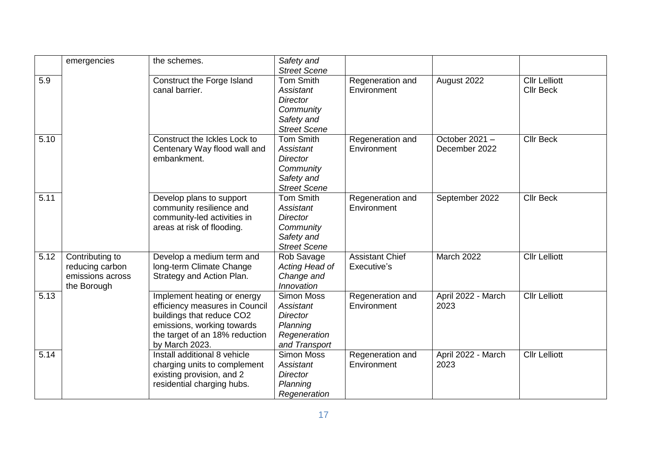|      | emergencies                                                           | the schemes.                                                                                                                                                                 | Safety and<br><b>Street Scene</b>                                                                         |                                       |                                |                                          |
|------|-----------------------------------------------------------------------|------------------------------------------------------------------------------------------------------------------------------------------------------------------------------|-----------------------------------------------------------------------------------------------------------|---------------------------------------|--------------------------------|------------------------------------------|
| 5.9  |                                                                       | Construct the Forge Island<br>canal barrier.                                                                                                                                 | <b>Tom Smith</b><br><b>Assistant</b><br><b>Director</b><br>Community<br>Safety and<br><b>Street Scene</b> | Regeneration and<br>Environment       | August 2022                    | <b>Cllr Lelliott</b><br><b>Cllr Beck</b> |
| 5.10 |                                                                       | Construct the Ickles Lock to<br>Centenary Way flood wall and<br>embankment.                                                                                                  | <b>Tom Smith</b><br>Assistant<br><b>Director</b><br>Community<br>Safety and<br><b>Street Scene</b>        | Regeneration and<br>Environment       | October 2021-<br>December 2022 | <b>Cllr Beck</b>                         |
| 5.11 |                                                                       | Develop plans to support<br>community resilience and<br>community-led activities in<br>areas at risk of flooding.                                                            | Tom Smith<br>Assistant<br><b>Director</b><br>Community<br>Safety and<br><b>Street Scene</b>               | Regeneration and<br>Environment       | September 2022                 | <b>Cllr Beck</b>                         |
| 5.12 | Contributing to<br>reducing carbon<br>emissions across<br>the Borough | Develop a medium term and<br>long-term Climate Change<br>Strategy and Action Plan.                                                                                           | Rob Savage<br>Acting Head of<br>Change and<br>Innovation                                                  | <b>Assistant Chief</b><br>Executive's | March 2022                     | <b>Cllr Lelliott</b>                     |
| 5.13 |                                                                       | Implement heating or energy<br>efficiency measures in Council<br>buildings that reduce CO2<br>emissions, working towards<br>the target of an 18% reduction<br>by March 2023. | <b>Simon Moss</b><br><b>Assistant</b><br><b>Director</b><br>Planning<br>Regeneration<br>and Transport     | Regeneration and<br>Environment       | April 2022 - March<br>2023     | <b>Cllr Lelliott</b>                     |
| 5.14 |                                                                       | Install additional 8 vehicle<br>charging units to complement<br>existing provision, and 2<br>residential charging hubs.                                                      | <b>Simon Moss</b><br>Assistant<br><b>Director</b><br>Planning<br>Regeneration                             | Regeneration and<br>Environment       | April 2022 - March<br>2023     | <b>Cllr Lelliott</b>                     |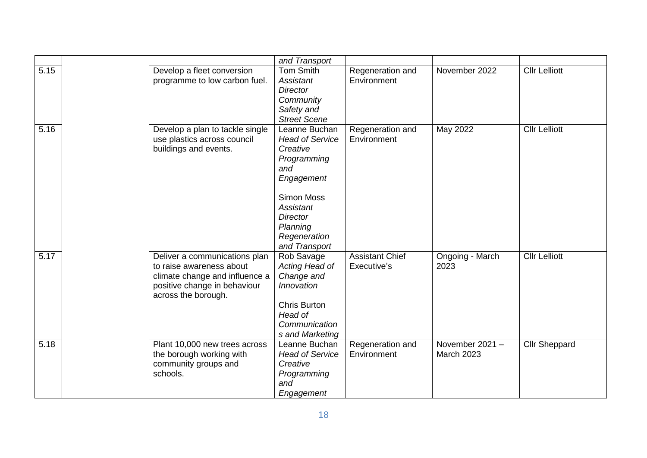|      |                                                                                                                                                    | and Transport                                                                                                                                                                             |                                       |                                      |                      |
|------|----------------------------------------------------------------------------------------------------------------------------------------------------|-------------------------------------------------------------------------------------------------------------------------------------------------------------------------------------------|---------------------------------------|--------------------------------------|----------------------|
| 5.15 | Develop a fleet conversion<br>programme to low carbon fuel.                                                                                        | Tom Smith<br>Assistant<br>Director<br>Community<br>Safety and<br><b>Street Scene</b>                                                                                                      | Regeneration and<br>Environment       | November 2022                        | <b>Cllr Lelliott</b> |
| 5.16 | Develop a plan to tackle single<br>use plastics across council<br>buildings and events.                                                            | Leanne Buchan<br><b>Head of Service</b><br>Creative<br>Programming<br>and<br>Engagement<br><b>Simon Moss</b><br>Assistant<br><b>Director</b><br>Planning<br>Regeneration<br>and Transport | Regeneration and<br>Environment       | May 2022                             | <b>Cllr Lelliott</b> |
| 5.17 | Deliver a communications plan<br>to raise awareness about<br>climate change and influence a<br>positive change in behaviour<br>across the borough. | Rob Savage<br>Acting Head of<br>Change and<br>Innovation<br><b>Chris Burton</b><br>Head of<br>Communication<br>s and Marketing                                                            | <b>Assistant Chief</b><br>Executive's | Ongoing - March<br>2023              | <b>Cllr Lelliott</b> |
| 5.18 | Plant 10,000 new trees across<br>the borough working with<br>community groups and<br>schools.                                                      | Leanne Buchan<br><b>Head of Service</b><br>Creative<br>Programming<br>and<br>Engagement                                                                                                   | Regeneration and<br>Environment       | November 2021 -<br><b>March 2023</b> | <b>Cllr Sheppard</b> |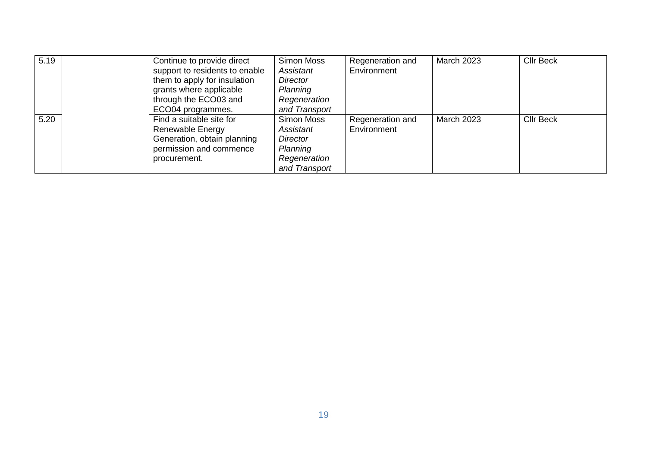| 5.19 | Continue to provide direct<br>support to residents to enable<br>them to apply for insulation<br>grants where applicable<br>through the ECO03 and<br>ECO04 programmes. | <b>Simon Moss</b><br>Assistant<br>Director<br>Planning<br>Regeneration<br>and Transport | Regeneration and<br>Environment | <b>March 2023</b> | <b>Cllr Beck</b> |
|------|-----------------------------------------------------------------------------------------------------------------------------------------------------------------------|-----------------------------------------------------------------------------------------|---------------------------------|-------------------|------------------|
| 5.20 | Find a suitable site for<br>Renewable Energy<br>Generation, obtain planning<br>permission and commence<br>procurement.                                                | Simon Moss<br>Assistant<br>Director<br>Planning<br>Regeneration<br>and Transport        | Regeneration and<br>Environment | <b>March 2023</b> | <b>Cllr Beck</b> |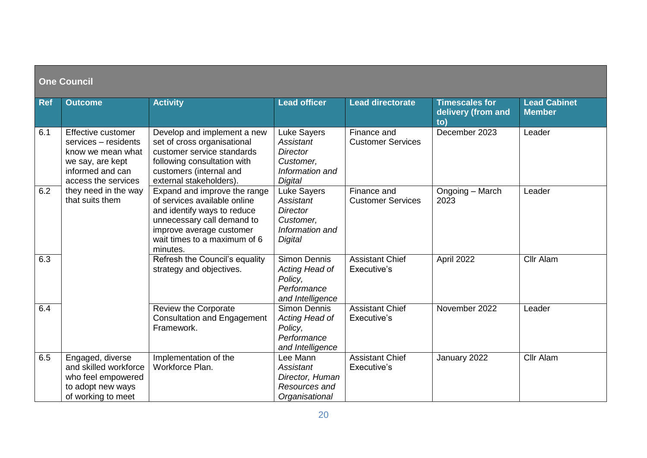| <b>One Council</b> |                                                                                                                                |                                                                                                                                                                                                   |                                                                                               |                                         |                                                    |                                      |
|--------------------|--------------------------------------------------------------------------------------------------------------------------------|---------------------------------------------------------------------------------------------------------------------------------------------------------------------------------------------------|-----------------------------------------------------------------------------------------------|-----------------------------------------|----------------------------------------------------|--------------------------------------|
| <b>Ref</b>         | <b>Outcome</b>                                                                                                                 | <b>Activity</b>                                                                                                                                                                                   | <b>Lead officer</b>                                                                           | <b>Lead directorate</b>                 | <b>Timescales for</b><br>delivery (from and<br>to) | <b>Lead Cabinet</b><br><b>Member</b> |
| 6.1                | Effective customer<br>services - residents<br>know we mean what<br>we say, are kept<br>informed and can<br>access the services | Develop and implement a new<br>set of cross organisational<br>customer service standards<br>following consultation with<br>customers (internal and<br>external stakeholders).                     | Luke Sayers<br><b>Assistant</b><br><b>Director</b><br>Customer,<br>Information and<br>Digital | Finance and<br><b>Customer Services</b> | December 2023                                      | Leader                               |
| 6.2                | they need in the way<br>that suits them                                                                                        | Expand and improve the range<br>of services available online<br>and identify ways to reduce<br>unnecessary call demand to<br>improve average customer<br>wait times to a maximum of 6<br>minutes. | Luke Sayers<br>Assistant<br><b>Director</b><br>Customer,<br>Information and<br>Digital        | Finance and<br><b>Customer Services</b> | Ongoing - March<br>2023                            | Leader                               |
| 6.3                |                                                                                                                                | Refresh the Council's equality<br>strategy and objectives.                                                                                                                                        | <b>Simon Dennis</b><br>Acting Head of<br>Policy,<br>Performance<br>and Intelligence           | <b>Assistant Chief</b><br>Executive's   | April 2022                                         | Cllr Alam                            |
| 6.4                |                                                                                                                                | Review the Corporate<br><b>Consultation and Engagement</b><br>Framework.                                                                                                                          | <b>Simon Dennis</b><br>Acting Head of<br>Policy,<br>Performance<br>and Intelligence           | <b>Assistant Chief</b><br>Executive's   | November 2022                                      | Leader                               |
| 6.5                | Engaged, diverse<br>and skilled workforce<br>who feel empowered<br>to adopt new ways<br>of working to meet                     | Implementation of the<br>Workforce Plan.                                                                                                                                                          | Lee Mann<br>Assistant<br>Director, Human<br>Resources and<br>Organisational                   | <b>Assistant Chief</b><br>Executive's   | January 2022                                       | Cllr Alam                            |